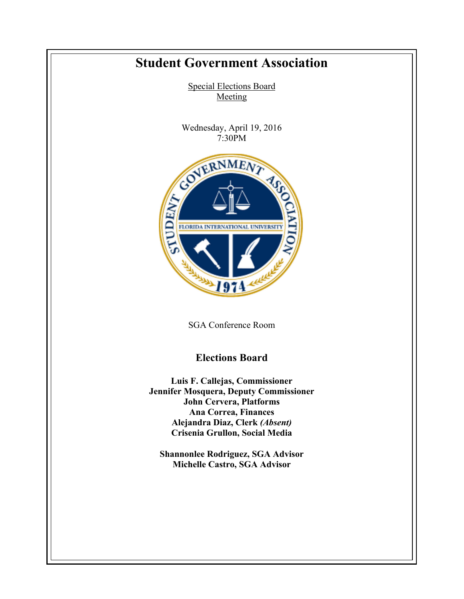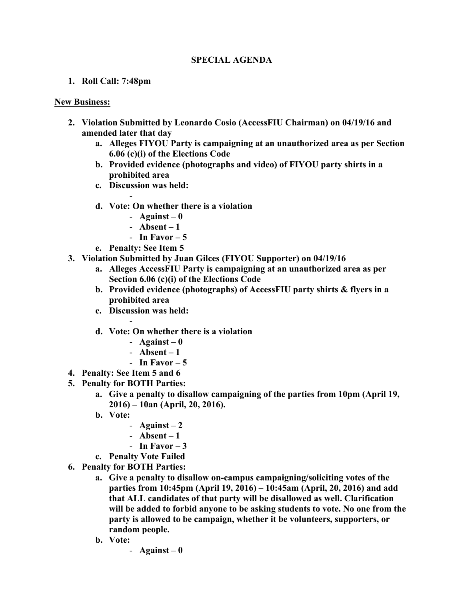## **SPECIAL AGENDA**

## **1. Roll Call: 7:48pm**

## **New Business:**

- **2. Violation Submitted by Leonardo Cosio (AccessFIU Chairman) on 04/19/16 and amended later that day**
	- **a. Alleges FIYOU Party is campaigning at an unauthorized area as per Section 6.06 (c)(i) of the Elections Code**
	- **b. Provided evidence (photographs and video) of FIYOU party shirts in a prohibited area**
	- **c. Discussion was held:**

-

- **d. Vote: On whether there is a violation**
	- $-$  **Against**  $-$  **0**
	- **Absent – 1**
	- In Favor  $-5$
- **e. Penalty: See Item 5**
- **3. Violation Submitted by Juan Gilces (FIYOU Supporter) on 04/19/16** 
	- **a. Alleges AccessFIU Party is campaigning at an unauthorized area as per Section 6.06 (c)(i) of the Elections Code**
	- **b. Provided evidence (photographs) of AccessFIU party shirts & flyers in a prohibited area**
	- **c. Discussion was held:**

-

- **d. Vote: On whether there is a violation**
	- **Against – 0**
	- **Absent – 1**
	- In Favor  $-5$
- **4. Penalty: See Item 5 and 6**
- **5. Penalty for BOTH Parties:**
	- **a. Give a penalty to disallow campaigning of the parties from 10pm (April 19, 2016) – 10an (April, 20, 2016).**
	- **b. Vote:**
		- **Against – 2**
		- **Absent – 1**
		- **In Favor – 3**
	- **c. Penalty Vote Failed**
- **6. Penalty for BOTH Parties:**
	- **a. Give a penalty to disallow on-campus campaigning/soliciting votes of the parties from 10:45pm (April 19, 2016) – 10:45am (April, 20, 2016) and add that ALL candidates of that party will be disallowed as well. Clarification will be added to forbid anyone to be asking students to vote. No one from the party is allowed to be campaign, whether it be volunteers, supporters, or random people.**
	- **b. Vote:**
		- **Against – 0**